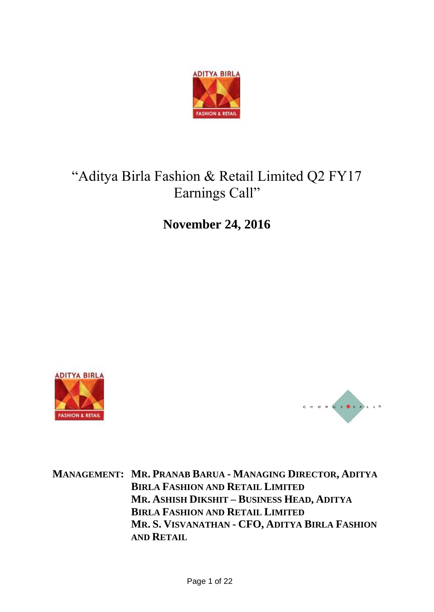

# "Aditya Birla Fashion & Retail Limited Q2 FY17 Earnings Call"

**November 24, 2016**





**MANAGEMENT: MR. PRANAB BARUA - MANAGING DIRECTOR, ADITYA BIRLA FASHION AND RETAIL LIMITED MR. ASHISH DIKSHIT – BUSINESS HEAD, ADITYA BIRLA FASHION AND RETAIL LIMITED MR. S. VISVANATHAN - CFO, ADITYA BIRLA FASHION AND RETAIL**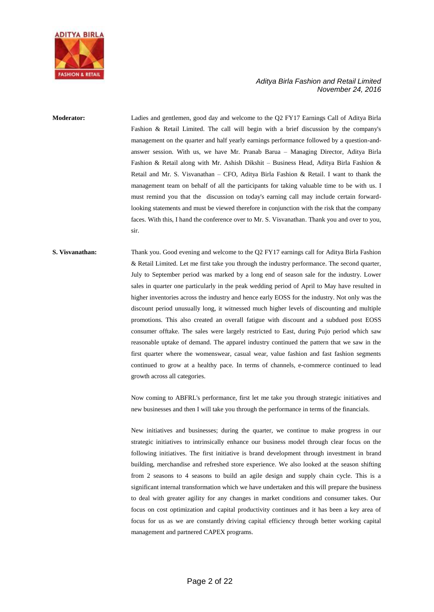

## **Moderator:** Ladies and gentlemen, good day and welcome to the Q2 FY17 Earnings Call of Aditya Birla Fashion & Retail Limited. The call will begin with a brief discussion by the company's management on the quarter and half yearly earnings performance followed by a question-andanswer session. With us, we have Mr. Pranab Barua – Managing Director, Aditya Birla Fashion & Retail along with Mr. Ashish Dikshit – Business Head, Aditya Birla Fashion & Retail and Mr. S. Visvanathan – CFO, Aditya Birla Fashion & Retail. I want to thank the management team on behalf of all the participants for taking valuable time to be with us. I must remind you that the discussion on today's earning call may include certain forwardlooking statements and must be viewed therefore in conjunction with the risk that the company faces. With this, I hand the conference over to Mr. S. Visvanathan. Thank you and over to you, sir.

## **S. Visvanathan:** Thank you. Good evening and welcome to the Q2 FY17 earnings call for Aditya Birla Fashion & Retail Limited. Let me first take you through the industry performance. The second quarter, July to September period was marked by a long end of season sale for the industry. Lower sales in quarter one particularly in the peak wedding period of April to May have resulted in higher inventories across the industry and hence early EOSS for the industry. Not only was the discount period unusually long, it witnessed much higher levels of discounting and multiple promotions. This also created an overall fatigue with discount and a subdued post EOSS consumer offtake. The sales were largely restricted to East, during Pujo period which saw reasonable uptake of demand. The apparel industry continued the pattern that we saw in the first quarter where the womenswear, casual wear, value fashion and fast fashion segments continued to grow at a healthy pace. In terms of channels, e-commerce continued to lead growth across all categories.

Now coming to ABFRL's performance, first let me take you through strategic initiatives and new businesses and then I will take you through the performance in terms of the financials.

New initiatives and businesses; during the quarter, we continue to make progress in our strategic initiatives to intrinsically enhance our business model through clear focus on the following initiatives. The first initiative is brand development through investment in brand building, merchandise and refreshed store experience. We also looked at the season shifting from 2 seasons to 4 seasons to build an agile design and supply chain cycle. This is a significant internal transformation which we have undertaken and this will prepare the business to deal with greater agility for any changes in market conditions and consumer takes. Our focus on cost optimization and capital productivity continues and it has been a key area of focus for us as we are constantly driving capital efficiency through better working capital management and partnered CAPEX programs.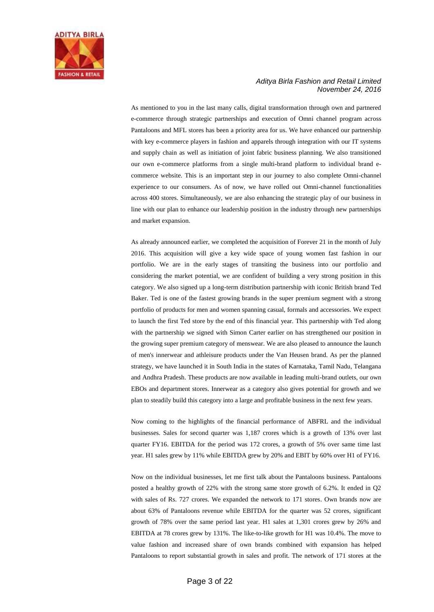

As mentioned to you in the last many calls, digital transformation through own and partnered e-commerce through strategic partnerships and execution of Omni channel program across Pantaloons and MFL stores has been a priority area for us. We have enhanced our partnership with key e-commerce players in fashion and apparels through integration with our IT systems and supply chain as well as initiation of joint fabric business planning. We also transitioned our own e-commerce platforms from a single multi-brand platform to individual brand ecommerce website. This is an important step in our journey to also complete Omni-channel experience to our consumers. As of now, we have rolled out Omni-channel functionalities across 400 stores. Simultaneously, we are also enhancing the strategic play of our business in line with our plan to enhance our leadership position in the industry through new partnerships and market expansion.

As already announced earlier, we completed the acquisition of Forever 21 in the month of July 2016. This acquisition will give a key wide space of young women fast fashion in our portfolio. We are in the early stages of transiting the business into our portfolio and considering the market potential, we are confident of building a very strong position in this category. We also signed up a long-term distribution partnership with iconic British brand Ted Baker. Ted is one of the fastest growing brands in the super premium segment with a strong portfolio of products for men and women spanning casual, formals and accessories. We expect to launch the first Ted store by the end of this financial year. This partnership with Ted along with the partnership we signed with Simon Carter earlier on has strengthened our position in the growing super premium category of menswear. We are also pleased to announce the launch of men's innerwear and athleisure products under the Van Heusen brand. As per the planned strategy, we have launched it in South India in the states of Karnataka, Tamil Nadu, Telangana and Andhra Pradesh. These products are now available in leading multi-brand outlets, our own EBOs and department stores. Innerwear as a category also gives potential for growth and we plan to steadily build this category into a large and profitable business in the next few years.

Now coming to the highlights of the financial performance of ABFRL and the individual businesses. Sales for second quarter was 1,187 crores which is a growth of 13% over last quarter FY16. EBITDA for the period was 172 crores, a growth of 5% over same time last year. H1 sales grew by 11% while EBITDA grew by 20% and EBIT by 60% over H1 of FY16.

Now on the individual businesses, let me first talk about the Pantaloons business. Pantaloons posted a healthy growth of 22% with the strong same store growth of 6.2%. It ended in Q2 with sales of Rs. 727 crores. We expanded the network to 171 stores. Own brands now are about 63% of Pantaloons revenue while EBITDA for the quarter was 52 crores, significant growth of 78% over the same period last year. H1 sales at 1,301 crores grew by 26% and EBITDA at 78 crores grew by 131%. The like-to-like growth for H1 was 10.4%. The move to value fashion and increased share of own brands combined with expansion has helped Pantaloons to report substantial growth in sales and profit. The network of 171 stores at the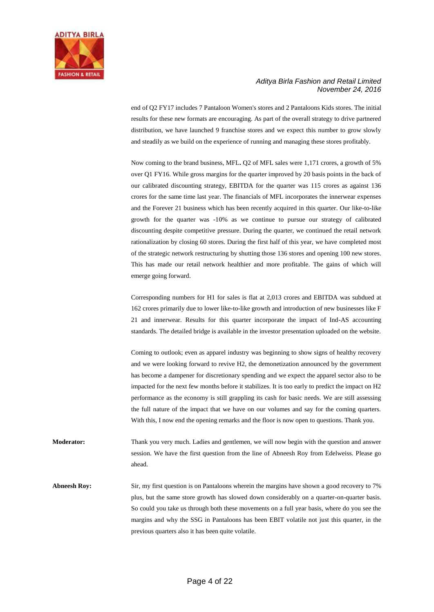

end of Q2 FY17 includes 7 Pantaloon Women's stores and 2 Pantaloons Kids stores. The initial results for these new formats are encouraging. As part of the overall strategy to drive partnered distribution, we have launched 9 franchise stores and we expect this number to grow slowly and steadily as we build on the experience of running and managing these stores profitably.

Now coming to the brand business, MFL**.** Q2 of MFL sales were 1,171 crores, a growth of 5% over Q1 FY16. While gross margins for the quarter improved by 20 basis points in the back of our calibrated discounting strategy, EBITDA for the quarter was 115 crores as against 136 crores for the same time last year. The financials of MFL incorporates the innerwear expenses and the Forever 21 business which has been recently acquired in this quarter. Our like-to-like growth for the quarter was -10% as we continue to pursue our strategy of calibrated discounting despite competitive pressure. During the quarter, we continued the retail network rationalization by closing 60 stores. During the first half of this year, we have completed most of the strategic network restructuring by shutting those 136 stores and opening 100 new stores. This has made our retail network healthier and more profitable. The gains of which will emerge going forward.

Corresponding numbers for H1 for sales is flat at 2,013 crores and EBITDA was subdued at 162 crores primarily due to lower like-to-like growth and introduction of new businesses like F 21 and innerwear. Results for this quarter incorporate the impact of Ind-AS accounting standards. The detailed bridge is available in the investor presentation uploaded on the website.

Coming to outlook; even as apparel industry was beginning to show signs of healthy recovery and we were looking forward to revive H2, the demonetization announced by the government has become a dampener for discretionary spending and we expect the apparel sector also to be impacted for the next few months before it stabilizes. It is too early to predict the impact on H2 performance as the economy is still grappling its cash for basic needs. We are still assessing the full nature of the impact that we have on our volumes and say for the coming quarters. With this, I now end the opening remarks and the floor is now open to questions. Thank you.

**Moderator:** Thank you very much. Ladies and gentlemen, we will now begin with the question and answer session. We have the first question from the line of Abneesh Roy from Edelweiss. Please go ahead.

**Abneesh Roy:** Sir, my first question is on Pantaloons wherein the margins have shown a good recovery to 7% plus, but the same store growth has slowed down considerably on a quarter-on-quarter basis. So could you take us through both these movements on a full year basis, where do you see the margins and why the SSG in Pantaloons has been EBIT volatile not just this quarter, in the previous quarters also it has been quite volatile.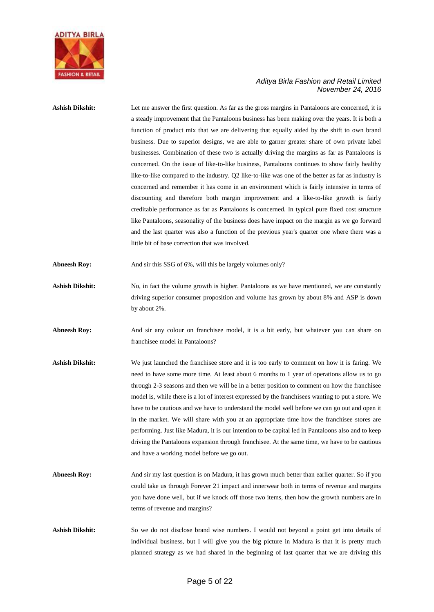

## Ashish Dikshit: Let me answer the first question. As far as the gross margins in Pantaloons are concerned, it is a steady improvement that the Pantaloons business has been making over the years. It is both a function of product mix that we are delivering that equally aided by the shift to own brand business. Due to superior designs, we are able to garner greater share of own private label businesses. Combination of these two is actually driving the margins as far as Pantaloons is concerned. On the issue of like-to-like business, Pantaloons continues to show fairly healthy like-to-like compared to the industry. Q2 like-to-like was one of the better as far as industry is concerned and remember it has come in an environment which is fairly intensive in terms of discounting and therefore both margin improvement and a like-to-like growth is fairly creditable performance as far as Pantaloons is concerned. In typical pure fixed cost structure like Pantaloons, seasonality of the business does have impact on the margin as we go forward and the last quarter was also a function of the previous year's quarter one where there was a little bit of base correction that was involved. Abneesh Roy: And sir this SSG of 6%, will this be largely volumes only?

- Ashish Dikshit: No, in fact the volume growth is higher. Pantaloons as we have mentioned, we are constantly driving superior consumer proposition and volume has grown by about 8% and ASP is down by about 2%.
- Abneesh Roy: And sir any colour on franchisee model, it is a bit early, but whatever you can share on franchisee model in Pantaloons?
- **Ashish Dikshit:** We just launched the franchisee store and it is too early to comment on how it is faring. We need to have some more time. At least about 6 months to 1 year of operations allow us to go through 2-3 seasons and then we will be in a better position to comment on how the franchisee model is, while there is a lot of interest expressed by the franchisees wanting to put a store. We have to be cautious and we have to understand the model well before we can go out and open it in the market. We will share with you at an appropriate time how the franchisee stores are performing. Just like Madura, it is our intention to be capital led in Pantaloons also and to keep driving the Pantaloons expansion through franchisee. At the same time, we have to be cautious and have a working model before we go out.
- **Abneesh Roy:** And sir my last question is on Madura, it has grown much better than earlier quarter. So if you could take us through Forever 21 impact and innerwear both in terms of revenue and margins you have done well, but if we knock off those two items, then how the growth numbers are in terms of revenue and margins?
- Ashish Dikshit: So we do not disclose brand wise numbers. I would not beyond a point get into details of individual business, but I will give you the big picture in Madura is that it is pretty much planned strategy as we had shared in the beginning of last quarter that we are driving this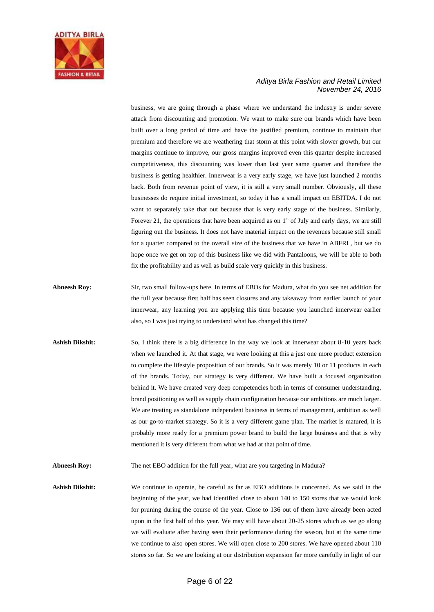

business, we are going through a phase where we understand the industry is under severe attack from discounting and promotion. We want to make sure our brands which have been built over a long period of time and have the justified premium, continue to maintain that premium and therefore we are weathering that storm at this point with slower growth, but our margins continue to improve, our gross margins improved even this quarter despite increased competitiveness, this discounting was lower than last year same quarter and therefore the business is getting healthier. Innerwear is a very early stage, we have just launched 2 months back. Both from revenue point of view, it is still a very small number. Obviously, all these businesses do require initial investment, so today it has a small impact on EBITDA. I do not want to separately take that out because that is very early stage of the business. Similarly, Forever 21, the operations that have been acquired as on  $1<sup>st</sup>$  of July and early days, we are still figuring out the business. It does not have material impact on the revenues because still small for a quarter compared to the overall size of the business that we have in ABFRL, but we do hope once we get on top of this business like we did with Pantaloons, we will be able to both fix the profitability and as well as build scale very quickly in this business.

- **Abneesh Roy:** Sir, two small follow-ups here. In terms of EBOs for Madura, what do you see net addition for the full year because first half has seen closures and any takeaway from earlier launch of your innerwear, any learning you are applying this time because you launched innerwear earlier also, so I was just trying to understand what has changed this time?
- **Ashish Dikshit:** So, I think there is a big difference in the way we look at innerwear about 8-10 years back when we launched it. At that stage, we were looking at this a just one more product extension to complete the lifestyle proposition of our brands. So it was merely 10 or 11 products in each of the brands. Today, our strategy is very different. We have built a focused organization behind it. We have created very deep competencies both in terms of consumer understanding, brand positioning as well as supply chain configuration because our ambitions are much larger. We are treating as standalone independent business in terms of management, ambition as well as our go-to-market strategy. So it is a very different game plan. The market is matured, it is probably more ready for a premium power brand to build the large business and that is why mentioned it is very different from what we had at that point of time.
- **Abneesh Roy:** The net EBO addition for the full year, what are you targeting in Madura?

**Ashish Dikshit:** We continue to operate, be careful as far as EBO additions is concerned. As we said in the beginning of the year, we had identified close to about 140 to 150 stores that we would look for pruning during the course of the year. Close to 136 out of them have already been acted upon in the first half of this year. We may still have about 20-25 stores which as we go along we will evaluate after having seen their performance during the season, but at the same time we continue to also open stores. We will open close to 200 stores. We have opened about 110 stores so far. So we are looking at our distribution expansion far more carefully in light of our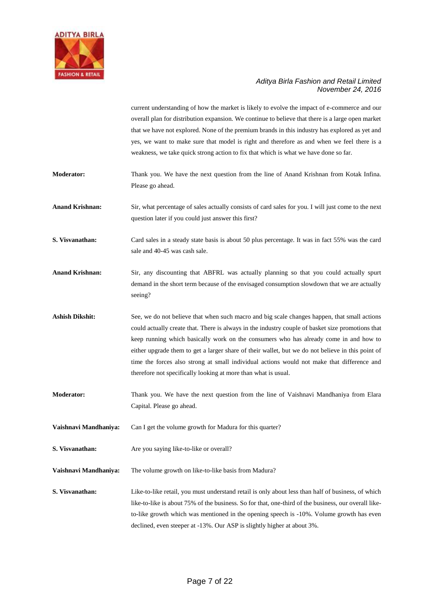

current understanding of how the market is likely to evolve the impact of e-commerce and our overall plan for distribution expansion. We continue to believe that there is a large open market that we have not explored. None of the premium brands in this industry has explored as yet and yes, we want to make sure that model is right and therefore as and when we feel there is a weakness, we take quick strong action to fix that which is what we have done so far.

- **Moderator:** Thank you. We have the next question from the line of Anand Krishnan from Kotak Infina. Please go ahead.
- **Anand Krishnan:** Sir, what percentage of sales actually consists of card sales for you. I will just come to the next question later if you could just answer this first?
- **S. Visvanathan:** Card sales in a steady state basis is about 50 plus percentage. It was in fact 55% was the card sale and 40-45 was cash sale.
- **Anand Krishnan:** Sir, any discounting that ABFRL was actually planning so that you could actually spurt demand in the short term because of the envisaged consumption slowdown that we are actually seeing?
- **Ashish Dikshit:** See, we do not believe that when such macro and big scale changes happen, that small actions could actually create that. There is always in the industry couple of basket size promotions that keep running which basically work on the consumers who has already come in and how to either upgrade them to get a larger share of their wallet, but we do not believe in this point of time the forces also strong at small individual actions would not make that difference and therefore not specifically looking at more than what is usual.
- **Moderator:** Thank you. We have the next question from the line of Vaishnavi Mandhaniya from Elara Capital. Please go ahead.
- **Vaishnavi Mandhaniya:** Can I get the volume growth for Madura for this quarter?
- **S. Visvanathan:** Are you saying like-to-like or overall?
- **Vaishnavi Mandhaniya:** The volume growth on like-to-like basis from Madura?
- **S. Visvanathan:** Like-to-like retail, you must understand retail is only about less than half of business, of which like-to-like is about 75% of the business. So for that, one-third of the business, our overall liketo-like growth which was mentioned in the opening speech is -10%. Volume growth has even declined, even steeper at -13%. Our ASP is slightly higher at about 3%.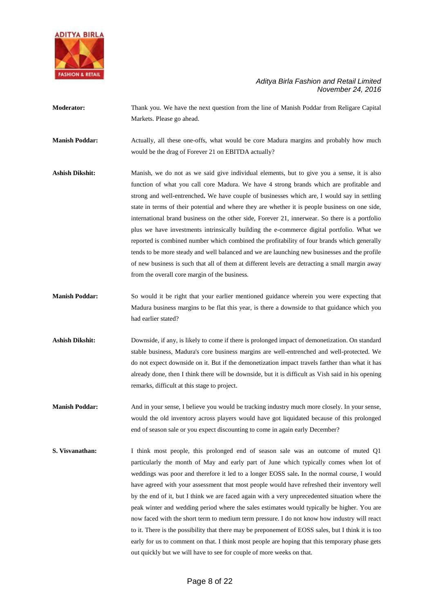

**Moderator:** Thank you. We have the next question from the line of Manish Poddar from Religare Capital Markets. Please go ahead.

**Manish Poddar:** Actually, all these one-offs, what would be core Madura margins and probably how much would be the drag of Forever 21 on EBITDA actually?

- Ashish Dikshit: Manish, we do not as we said give individual elements, but to give you a sense, it is also function of what you call core Madura. We have 4 strong brands which are profitable and strong and well-entrenched**.** We have couple of businesses which are, I would say in settling state in terms of their potential and where they are whether it is people business on one side, international brand business on the other side, Forever 21, innerwear. So there is a portfolio plus we have investments intrinsically building the e-commerce digital portfolio. What we reported is combined number which combined the profitability of four brands which generally tends to be more steady and well balanced and we are launching new businesses and the profile of new business is such that all of them at different levels are detracting a small margin away from the overall core margin of the business.
- **Manish Poddar:** So would it be right that your earlier mentioned guidance wherein you were expecting that Madura business margins to be flat this year, is there a downside to that guidance which you had earlier stated?
- **Ashish Dikshit:** Downside, if any, is likely to come if there is prolonged impact of demonetization. On standard stable business, Madura's core business margins are well-entrenched and well-protected. We do not expect downside on it. But if the demonetization impact travels farther than what it has already done, then I think there will be downside, but it is difficult as Vish said in his opening remarks, difficult at this stage to project.
- **Manish Poddar:** And in your sense, I believe you would be tracking industry much more closely. In your sense, would the old inventory across players would have got liquidated because of this prolonged end of season sale or you expect discounting to come in again early December?
- **S. Visvanathan:** I think most people, this prolonged end of season sale was an outcome of muted Q1 particularly the month of May and early part of June which typically comes when lot of weddings was poor and therefore it led to a longer EOSS sale**.** In the normal course, I would have agreed with your assessment that most people would have refreshed their inventory well by the end of it, but I think we are faced again with a very unprecedented situation where the peak winter and wedding period where the sales estimates would typically be higher. You are now faced with the short term to medium term pressure. I do not know how industry will react to it. There is the possibility that there may be preponement of EOSS sales, but I think it is too early for us to comment on that. I think most people are hoping that this temporary phase gets out quickly but we will have to see for couple of more weeks on that.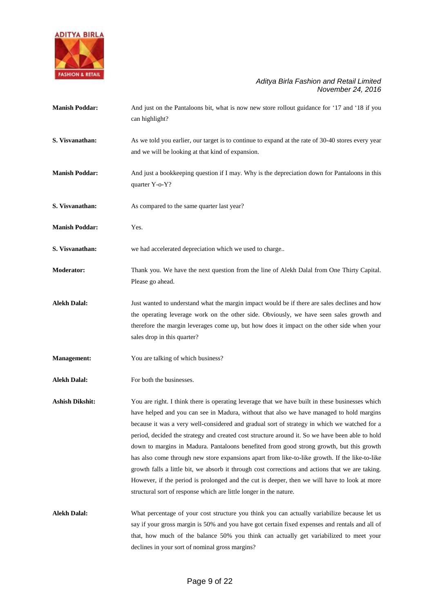

| <b>Manish Poddar:</b>  | And just on the Pantaloons bit, what is now new store rollout guidance for '17 and '18 if you<br>can highlight?                                                                                                                                                                                                                                                                                                                                                                                                                                                                                                                                                                                                                                                                                                                                                        |
|------------------------|------------------------------------------------------------------------------------------------------------------------------------------------------------------------------------------------------------------------------------------------------------------------------------------------------------------------------------------------------------------------------------------------------------------------------------------------------------------------------------------------------------------------------------------------------------------------------------------------------------------------------------------------------------------------------------------------------------------------------------------------------------------------------------------------------------------------------------------------------------------------|
| S. Visvanathan:        | As we told you earlier, our target is to continue to expand at the rate of 30-40 stores every year<br>and we will be looking at that kind of expansion.                                                                                                                                                                                                                                                                                                                                                                                                                                                                                                                                                                                                                                                                                                                |
| <b>Manish Poddar:</b>  | And just a bookkeeping question if I may. Why is the depreciation down for Pantaloons in this<br>quarter Y-o-Y?                                                                                                                                                                                                                                                                                                                                                                                                                                                                                                                                                                                                                                                                                                                                                        |
| S. Visvanathan:        | As compared to the same quarter last year?                                                                                                                                                                                                                                                                                                                                                                                                                                                                                                                                                                                                                                                                                                                                                                                                                             |
| <b>Manish Poddar:</b>  | Yes.                                                                                                                                                                                                                                                                                                                                                                                                                                                                                                                                                                                                                                                                                                                                                                                                                                                                   |
| S. Visvanathan:        | we had accelerated depreciation which we used to charge                                                                                                                                                                                                                                                                                                                                                                                                                                                                                                                                                                                                                                                                                                                                                                                                                |
| Moderator:             | Thank you. We have the next question from the line of Alekh Dalal from One Thirty Capital.<br>Please go ahead.                                                                                                                                                                                                                                                                                                                                                                                                                                                                                                                                                                                                                                                                                                                                                         |
| <b>Alekh Dalal:</b>    | Just wanted to understand what the margin impact would be if there are sales declines and how<br>the operating leverage work on the other side. Obviously, we have seen sales growth and<br>therefore the margin leverages come up, but how does it impact on the other side when your<br>sales drop in this quarter?                                                                                                                                                                                                                                                                                                                                                                                                                                                                                                                                                  |
| <b>Management:</b>     | You are talking of which business?                                                                                                                                                                                                                                                                                                                                                                                                                                                                                                                                                                                                                                                                                                                                                                                                                                     |
| <b>Alekh Dalal:</b>    | For both the businesses.                                                                                                                                                                                                                                                                                                                                                                                                                                                                                                                                                                                                                                                                                                                                                                                                                                               |
| <b>Ashish Dikshit:</b> | You are right. I think there is operating leverage that we have built in these businesses which<br>have helped and you can see in Madura, without that also we have managed to hold margins<br>because it was a very well-considered and gradual sort of strategy in which we watched for a<br>period, decided the strategy and created cost structure around it. So we have been able to hold<br>down to margins in Madura. Pantaloons benefited from good strong growth, but this growth<br>has also come through new store expansions apart from like-to-like growth. If the like-to-like<br>growth falls a little bit, we absorb it through cost corrections and actions that we are taking.<br>However, if the period is prolonged and the cut is deeper, then we will have to look at more<br>structural sort of response which are little longer in the nature. |
| <b>Alekh Dalal:</b>    | What percentage of your cost structure you think you can actually variabilize because let us<br>say if your gross margin is 50% and you have got certain fixed expenses and rentals and all of<br>that, how much of the balance 50% you think can actually get variabilized to meet your<br>declines in your sort of nominal gross margins?                                                                                                                                                                                                                                                                                                                                                                                                                                                                                                                            |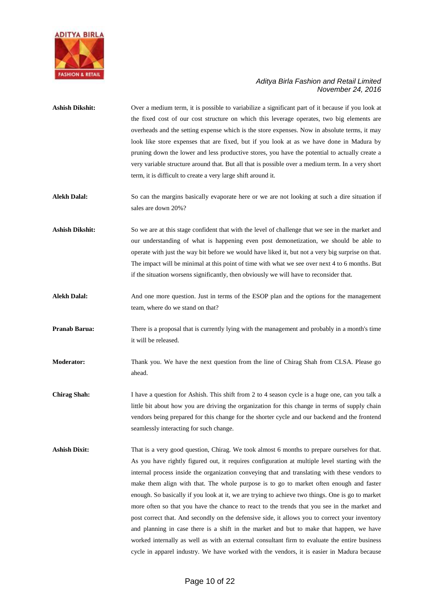

| Ashish Dikshit: | Over a medium term, it is possible to variabilize a significant part of it because if you look at |
|-----------------|---------------------------------------------------------------------------------------------------|
|                 | the fixed cost of our cost structure on which this leverage operates, two big elements are        |
|                 | overheads and the setting expense which is the store expenses. Now in absolute terms, it may      |
|                 | look like store expenses that are fixed, but if you look at as we have done in Madura by          |
|                 | pruning down the lower and less productive stores, you have the potential to actually create a    |
|                 | very variable structure around that. But all that is possible over a medium term. In a very short |
|                 | term, it is difficult to create a very large shift around it.                                     |

- **Alekh Dalal:** So can the margins basically evaporate here or we are not looking at such a dire situation if sales are down 20%?
- Ashish Dikshit: So we are at this stage confident that with the level of challenge that we see in the market and our understanding of what is happening even post demonetization, we should be able to operate with just the way bit before we would have liked it, but not a very big surprise on that. The impact will be minimal at this point of time with what we see over next 4 to 6 months. But if the situation worsens significantly, then obviously we will have to reconsider that.
- **Alekh Dalal:** And one more question. Just in terms of the ESOP plan and the options for the management team, where do we stand on that?
- **Pranab Barua:** There is a proposal that is currently lying with the management and probably in a month's time it will be released.
- **Moderator:** Thank you. We have the next question from the line of Chirag Shah from CLSA. Please go ahead.
- **Chirag Shah:** I have a question for Ashish. This shift from 2 to 4 season cycle is a huge one, can you talk a little bit about how you are driving the organization for this change in terms of supply chain vendors being prepared for this change for the shorter cycle and our backend and the frontend seamlessly interacting for such change.
- **Ashish Dixit:** That is a very good question, Chirag. We took almost 6 months to prepare ourselves for that. As you have rightly figured out, it requires configuration at multiple level starting with the internal process inside the organization conveying that and translating with these vendors to make them align with that. The whole purpose is to go to market often enough and faster enough. So basically if you look at it, we are trying to achieve two things. One is go to market more often so that you have the chance to react to the trends that you see in the market and post correct that. And secondly on the defensive side, it allows you to correct your inventory and planning in case there is a shift in the market and but to make that happen, we have worked internally as well as with an external consultant firm to evaluate the entire business cycle in apparel industry. We have worked with the vendors, it is easier in Madura because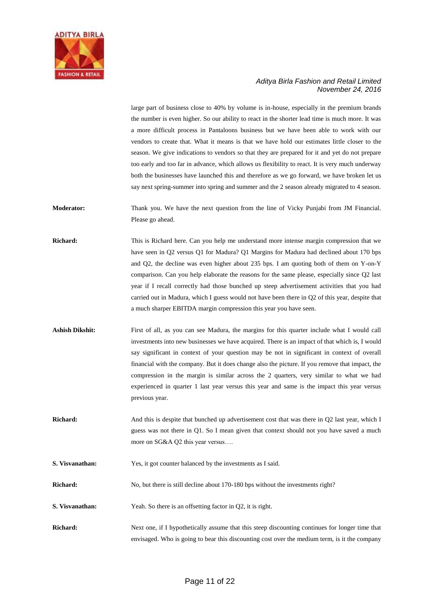

large part of business close to 40% by volume is in-house, especially in the premium brands the number is even higher. So our ability to react in the shorter lead time is much more. It was a more difficult process in Pantaloons business but we have been able to work with our vendors to create that. What it means is that we have hold our estimates little closer to the season. We give indications to vendors so that they are prepared for it and yet do not prepare too early and too far in advance, which allows us flexibility to react. It is very much underway both the businesses have launched this and therefore as we go forward, we have broken let us say next spring-summer into spring and summer and the 2 season already migrated to 4 season.

**Moderator:** Thank you. We have the next question from the line of Vicky Punjabi from JM Financial. Please go ahead.

**Richard:** This is Richard here. Can you help me understand more intense margin compression that we have seen in Q2 versus Q1 for Madura? Q1 Margins for Madura had declined about 170 bps and Q2, the decline was even higher about 235 bps. I am quoting both of them on Y-on-Y comparison. Can you help elaborate the reasons for the same please, especially since Q2 last year if I recall correctly had those bunched up steep advertisement activities that you had carried out in Madura, which I guess would not have been there in Q2 of this year, despite that a much sharper EBITDA margin compression this year you have seen.

**Ashish Dikshit:** First of all, as you can see Madura, the margins for this quarter include what I would call investments into new businesses we have acquired. There is an impact of that which is, I would say significant in context of your question may be not in significant in context of overall financial with the company. But it does change also the picture. If you remove that impact, the compression in the margin is similar across the 2 quarters, very similar to what we had experienced in quarter 1 last year versus this year and same is the impact this year versus previous year.

**Richard:** And this is despite that bunched up advertisement cost that was there in Q2 last year, which I guess was not there in Q1. So I mean given that context should not you have saved a much more on SG&A Q2 this year versus….

**S. Visvanathan:** Yes, it got counter balanced by the investments as I said.

**Richard:** No, but there is still decline about 170-180 bps without the investments right?

**S. Visvanathan:** Yeah. So there is an offsetting factor in Q2, it is right.

**Richard:** Next one, if I hypothetically assume that this steep discounting continues for longer time that envisaged. Who is going to bear this discounting cost over the medium term, is it the company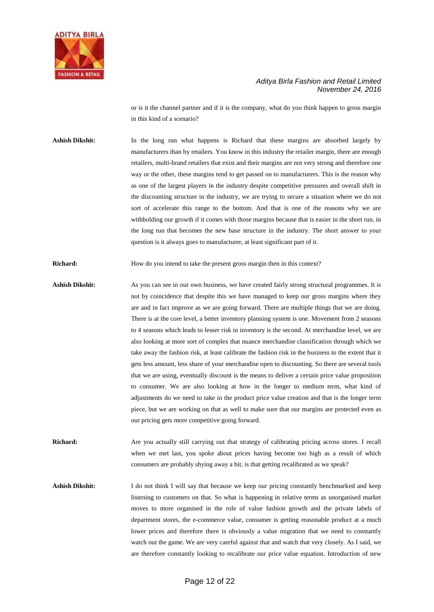

or is it the channel partner and if it is the company, what do you think happen to gross margin in this kind of a scenario?

Ashish Dikshit: In the long run what happens is Richard that these margins are absorbed largely by manufacturers than by retailers. You know in this industry the retailer margin, there are enough retailers, multi-brand retailers that exist and their margins are not very strong and therefore one way or the other, these margins tend to get passed on to manufacturers. This is the reason why as one of the largest players in the industry despite competitive pressures and overall shift in the discounting structure in the industry, we are trying to secure a situation where we do not sort of accelerate this range to the bottom. And that is one of the reasons why we are withholding our growth if it comes with those margins because that is easier in the short run, in the long run that becomes the new base structure in the industry. The short answer to your question is it always goes to manufacturer, at least significant part of it.

**Richard:** How do you intend to take the present gross margin then in this context?

Ashish Dikshit: As you can see in our own business, we have created fairly strong structural programmes. It is not by coincidence that despite this we have managed to keep our gross margins where they are and in fact improve as we are going forward. There are multiple things that we are doing. There is at the core level, a better inventory planning system is one. Movement from 2 seasons to 4 seasons which leads to lesser risk in inventory is the second. At merchandise level, we are also looking at more sort of complex that nuance merchandise classification through which we take away the fashion risk, at least calibrate the fashion risk in the business to the extent that it gets less amount, less share of your merchandise open to discounting. So there are several tools that we are using, eventually discount is the means to deliver a certain price value proposition to consumer. We are also looking at how in the longer to medium term, what kind of adjustments do we need to take in the product price value creation and that is the longer term piece, but we are working on that as well to make sure that our margins are protected even as our pricing gets more competitive going forward.

**Richard:** Are you actually still carrying out that strategy of calibrating pricing across stores. I recall when we met last, you spoke about prices having become too high as a result of which consumers are probably shying away a bit, is that getting recalibrated as we speak?

Ashish Dikshit: I do not think I will say that because we keep our pricing constantly benchmarked and keep listening to customers on that. So what is happening in relative terms as unorganised market moves to more organised in the role of value fashion growth and the private labels of department stores, the e-commerce value, consumer is getting reasonable product at a much lower prices and therefore there is obviously a value migration that we need to constantly watch out the game. We are very careful against that and watch that very closely. As I said, we are therefore constantly looking to recalibrate our price value equation. Introduction of new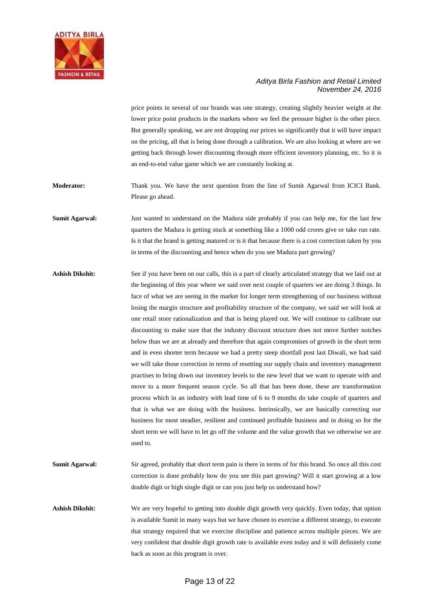

price points in several of our brands was one strategy, creating slightly heavier weight at the lower price point products in the markets where we feel the pressure higher is the other piece. But generally speaking, we are not dropping our prices so significantly that it will have impact on the pricing, all that is being done through a calibration. We are also looking at where are we getting back through lower discounting through more efficient inventory planning, etc. So it is an end-to-end value game which we are constantly looking at.

**Moderator:** Thank you. We have the next question from the line of Sumit Agarwal from ICICI Bank. Please go ahead.

**Sumit Agarwal:** Just wanted to understand on the Madura side probably if you can help me, for the last few quarters the Madura is getting stuck at something like a 1000 odd crores give or take run rate. Is it that the brand is getting matured or is it that because there is a cost correction taken by you in terms of the discounting and hence when do you see Madura part growing?

- Ashish Dikshit: See if you have been on our calls, this is a part of clearly articulated strategy that we laid out at the beginning of this year where we said over next couple of quarters we are doing 3 things. In face of what we are seeing in the market for longer term strengthening of our business without losing the margin structure and profitability structure of the company, we said we will look at one retail store rationalization and that is being played out. We will continue to calibrate our discounting to make sure that the industry discount structure does not move further notches below than we are at already and therefore that again compromises of growth in the short term and in even shorter term because we had a pretty steep shortfall post last Diwali, we had said we will take those correction in terms of resetting our supply chain and inventory management practises to bring down our inventory levels to the new level that we want to operate with and move to a more frequent season cycle. So all that has been done, these are transformation process which in an industry with lead time of 6 to 9 months do take couple of quarters and that is what we are doing with the business. Intrinsically, we are basically correcting our business for most steadier, resilient and continued profitable business and in doing so for the short term we will have to let go off the volume and the value growth that we otherwise we are used to.
- **Sumit Agarwal:** Sir agreed, probably that short term pain is there in terms of for this brand. So once all this cost correction is done probably how do you see this part growing? Will it start growing at a low double digit or high single digit or can you just help us understand how?

**Ashish Dikshit:** We are very hopeful to getting into double digit growth very quickly. Even today, that option is available Sumit in many ways but we have chosen to exercise a different strategy, to execute that strategy required that we exercise discipline and patience across multiple pieces. We are very confident that double digit growth rate is available even today and it will definitely come back as soon as this program is over.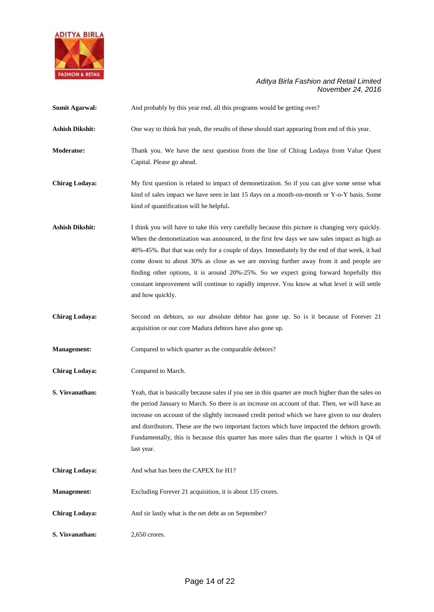

| <b>Sumit Agarwal:</b>  | And probably by this year end, all this programs would be getting over?                                                                                                                                                                                                                                                                                                                                                                                                                                                                                                                               |
|------------------------|-------------------------------------------------------------------------------------------------------------------------------------------------------------------------------------------------------------------------------------------------------------------------------------------------------------------------------------------------------------------------------------------------------------------------------------------------------------------------------------------------------------------------------------------------------------------------------------------------------|
| <b>Ashish Dikshit:</b> | One way to think but yeah, the results of these should start appearing from end of this year.                                                                                                                                                                                                                                                                                                                                                                                                                                                                                                         |
| <b>Moderator:</b>      | Thank you. We have the next question from the line of Chirag Lodaya from Value Quest<br>Capital. Please go ahead.                                                                                                                                                                                                                                                                                                                                                                                                                                                                                     |
| <b>Chirag Lodaya:</b>  | My first question is related to impact of demonetization. So if you can give some sense what<br>kind of sales impact we have seen in last 15 days on a month-on-month or Y-o-Y basis. Some<br>kind of quantification will be helpful.                                                                                                                                                                                                                                                                                                                                                                 |
| <b>Ashish Dikshit:</b> | I think you will have to take this very carefully because this picture is changing very quickly.<br>When the demonetization was announced, in the first few days we saw sales impact as high as<br>40%-45%. But that was only for a couple of days. Immediately by the end of that week, it had<br>come down to about 30% as close as we are moving further away from it and people are<br>finding other options, it is around 20%-25%. So we expect going forward hopefully this<br>constant improvement will continue to rapidly improve. You know at what level it will settle<br>and how quickly. |
| <b>Chirag Lodaya:</b>  | Second on debtors, so our absolute debtor has gone up. So is it because of Forever 21<br>acquisition or our core Madura debtors have also gone up.                                                                                                                                                                                                                                                                                                                                                                                                                                                    |
| <b>Management:</b>     | Compared to which quarter as the comparable debtors?                                                                                                                                                                                                                                                                                                                                                                                                                                                                                                                                                  |
| Chirag Lodaya:         | Compared to March.                                                                                                                                                                                                                                                                                                                                                                                                                                                                                                                                                                                    |
| S. Visvanathan:        | Yeah, that is basically because sales if you see in this quarter are much higher than the sales on<br>the period January to March. So there is an increase on account of that. Then, we will have an<br>increase on account of the slightly increased credit period which we have given to our dealers<br>and distributors. These are the two important factors which have impacted the debtors growth.<br>Fundamentally, this is because this quarter has more sales than the quarter 1 which is Q4 of<br>last year.                                                                                 |
| <b>Chirag Lodaya:</b>  | And what has been the CAPEX for H1?                                                                                                                                                                                                                                                                                                                                                                                                                                                                                                                                                                   |
| <b>Management:</b>     | Excluding Forever 21 acquisition, it is about 135 crores.                                                                                                                                                                                                                                                                                                                                                                                                                                                                                                                                             |
| <b>Chirag Lodaya:</b>  | And sir lastly what is the net debt as on September?                                                                                                                                                                                                                                                                                                                                                                                                                                                                                                                                                  |
| S. Visvanathan:        | 2,650 crores.                                                                                                                                                                                                                                                                                                                                                                                                                                                                                                                                                                                         |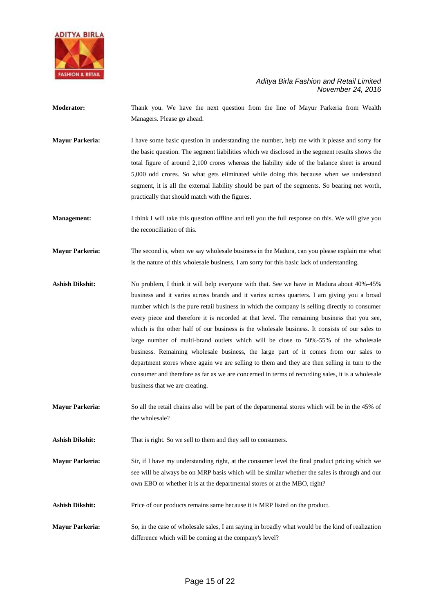

**Moderator:** Thank you. We have the next question from the line of Mayur Parkeria from Wealth Managers. Please go ahead.

**Mayur Parkeria:** I have some basic question in understanding the number, help me with it please and sorry for the basic question. The segment liabilities which we disclosed in the segment results shows the total figure of around 2,100 crores whereas the liability side of the balance sheet is around 5,000 odd crores. So what gets eliminated while doing this because when we understand segment, it is all the external liability should be part of the segments. So bearing net worth, practically that should match with the figures.

**Management:** I think I will take this question offline and tell you the full response on this. We will give you the reconciliation of this.

**Mayur Parkeria:** The second is, when we say wholesale business in the Madura, can you please explain me what is the nature of this wholesale business, I am sorry for this basic lack of understanding.

**Ashish Dikshit:** No problem, I think it will help everyone with that. See we have in Madura about 40%-45% business and it varies across brands and it varies across quarters. I am giving you a broad number which is the pure retail business in which the company is selling directly to consumer every piece and therefore it is recorded at that level. The remaining business that you see, which is the other half of our business is the wholesale business. It consists of our sales to large number of multi-brand outlets which will be close to 50%-55% of the wholesale business. Remaining wholesale business, the large part of it comes from our sales to department stores where again we are selling to them and they are then selling in turn to the consumer and therefore as far as we are concerned in terms of recording sales, it is a wholesale business that we are creating.

**Mayur Parkeria:** So all the retail chains also will be part of the departmental stores which will be in the 45% of the wholesale?

Ashish Dikshit: That is right. So we sell to them and they sell to consumers.

**Mayur Parkeria:** Sir, if I have my understanding right, at the consumer level the final product pricing which we see will be always be on MRP basis which will be similar whether the sales is through and our own EBO or whether it is at the departmental stores or at the MBO, right?

- Ashish Dikshit: Price of our products remains same because it is MRP listed on the product.
- **Mayur Parkeria:** So, in the case of wholesale sales, I am saying in broadly what would be the kind of realization difference which will be coming at the company's level?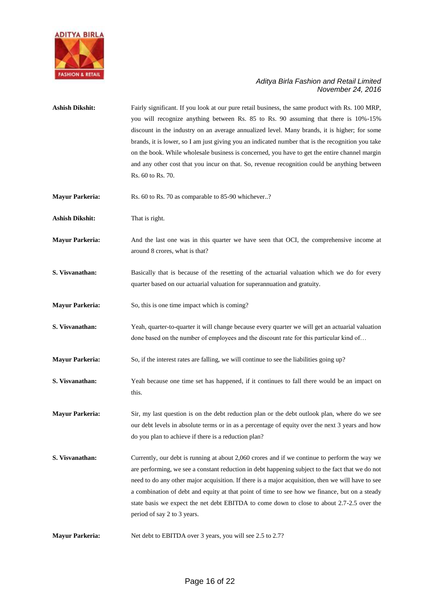

| <b>Ashish Dikshit:</b> | Fairly significant. If you look at our pure retail business, the same product with Rs. 100 MRP,<br>you will recognize anything between Rs. 85 to Rs. 90 assuming that there is 10%-15%<br>discount in the industry on an average annualized level. Many brands, it is higher; for some<br>brands, it is lower, so I am just giving you an indicated number that is the recognition you take<br>on the book. While wholesale business is concerned, you have to get the entire channel margin<br>and any other cost that you incur on that. So, revenue recognition could be anything between<br>Rs. 60 to Rs. 70. |
|------------------------|-------------------------------------------------------------------------------------------------------------------------------------------------------------------------------------------------------------------------------------------------------------------------------------------------------------------------------------------------------------------------------------------------------------------------------------------------------------------------------------------------------------------------------------------------------------------------------------------------------------------|
| <b>Mayur Parkeria:</b> | Rs. 60 to Rs. 70 as comparable to 85-90 whichever?                                                                                                                                                                                                                                                                                                                                                                                                                                                                                                                                                                |
| <b>Ashish Dikshit:</b> | That is right.                                                                                                                                                                                                                                                                                                                                                                                                                                                                                                                                                                                                    |
| <b>Mayur Parkeria:</b> | And the last one was in this quarter we have seen that OCI, the comprehensive income at<br>around 8 crores, what is that?                                                                                                                                                                                                                                                                                                                                                                                                                                                                                         |
| S. Visvanathan:        | Basically that is because of the resetting of the actuarial valuation which we do for every<br>quarter based on our actuarial valuation for superannuation and gratuity.                                                                                                                                                                                                                                                                                                                                                                                                                                          |
| <b>Mayur Parkeria:</b> | So, this is one time impact which is coming?                                                                                                                                                                                                                                                                                                                                                                                                                                                                                                                                                                      |
| S. Visvanathan:        | Yeah, quarter-to-quarter it will change because every quarter we will get an actuarial valuation<br>done based on the number of employees and the discount rate for this particular kind of                                                                                                                                                                                                                                                                                                                                                                                                                       |
| <b>Mayur Parkeria:</b> | So, if the interest rates are falling, we will continue to see the liabilities going up?                                                                                                                                                                                                                                                                                                                                                                                                                                                                                                                          |
| S. Visvanathan:        | Yeah because one time set has happened, if it continues to fall there would be an impact on<br>this.                                                                                                                                                                                                                                                                                                                                                                                                                                                                                                              |
| <b>Mayur Parkeria:</b> | Sir, my last question is on the debt reduction plan or the debt outlook plan, where do we see<br>our debt levels in absolute terms or in as a percentage of equity over the next 3 years and how<br>do you plan to achieve if there is a reduction plan?                                                                                                                                                                                                                                                                                                                                                          |
| S. Visvanathan:        | Currently, our debt is running at about 2,060 crores and if we continue to perform the way we<br>are performing, we see a constant reduction in debt happening subject to the fact that we do not<br>need to do any other major acquisition. If there is a major acquisition, then we will have to see<br>a combination of debt and equity at that point of time to see how we finance, but on a steady<br>state basis we expect the net debt EBITDA to come down to close to about 2.7-2.5 over the<br>period of say 2 to 3 years.                                                                               |
| <b>Mayur Parkeria:</b> | Net debt to EBITDA over 3 years, you will see 2.5 to 2.7?                                                                                                                                                                                                                                                                                                                                                                                                                                                                                                                                                         |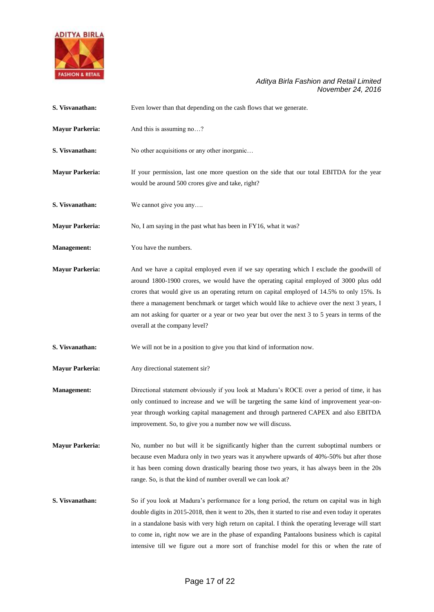

| S. Visvanathan:        | Even lower than that depending on the cash flows that we generate.                                                                                                                                                                                                                                                                                                                                                                                                                                                |
|------------------------|-------------------------------------------------------------------------------------------------------------------------------------------------------------------------------------------------------------------------------------------------------------------------------------------------------------------------------------------------------------------------------------------------------------------------------------------------------------------------------------------------------------------|
| <b>Mayur Parkeria:</b> | And this is assuming no?                                                                                                                                                                                                                                                                                                                                                                                                                                                                                          |
| S. Visvanathan:        | No other acquisitions or any other inorganic                                                                                                                                                                                                                                                                                                                                                                                                                                                                      |
| <b>Mayur Parkeria:</b> | If your permission, last one more question on the side that our total EBITDA for the year<br>would be around 500 crores give and take, right?                                                                                                                                                                                                                                                                                                                                                                     |
| S. Visvanathan:        | We cannot give you any                                                                                                                                                                                                                                                                                                                                                                                                                                                                                            |
| <b>Mayur Parkeria:</b> | No, I am saying in the past what has been in FY16, what it was?                                                                                                                                                                                                                                                                                                                                                                                                                                                   |
| Management:            | You have the numbers.                                                                                                                                                                                                                                                                                                                                                                                                                                                                                             |
| <b>Mayur Parkeria:</b> | And we have a capital employed even if we say operating which I exclude the goodwill of<br>around 1800-1900 crores, we would have the operating capital employed of 3000 plus odd<br>crores that would give us an operating return on capital employed of 14.5% to only 15%. Is<br>there a management benchmark or target which would like to achieve over the next 3 years, I<br>am not asking for quarter or a year or two year but over the next 3 to 5 years in terms of the<br>overall at the company level? |
| S. Visvanathan:        | We will not be in a position to give you that kind of information now.                                                                                                                                                                                                                                                                                                                                                                                                                                            |
| <b>Mayur Parkeria:</b> | Any directional statement sir?                                                                                                                                                                                                                                                                                                                                                                                                                                                                                    |
| Management:            | Directional statement obviously if you look at Madura's ROCE over a period of time, it has<br>only continued to increase and we will be targeting the same kind of improvement year-on-<br>year through working capital management and through partnered CAPEX and also EBITDA<br>improvement. So, to give you a number now we will discuss.                                                                                                                                                                      |
| <b>Mayur Parkeria:</b> | No, number no but will it be significantly higher than the current suboptimal numbers or<br>because even Madura only in two years was it anywhere upwards of 40%-50% but after those<br>it has been coming down drastically bearing those two years, it has always been in the 20s<br>range. So, is that the kind of number overall we can look at?                                                                                                                                                               |
| S. Visvanathan:        | So if you look at Madura's performance for a long period, the return on capital was in high<br>double digits in 2015-2018, then it went to 20s, then it started to rise and even today it operates<br>in a standalone basis with very high return on capital. I think the operating leverage will start<br>to come in, right now we are in the phase of expanding Pantaloons business which is capital<br>intensive till we figure out a more sort of franchise model for this or when the rate of                |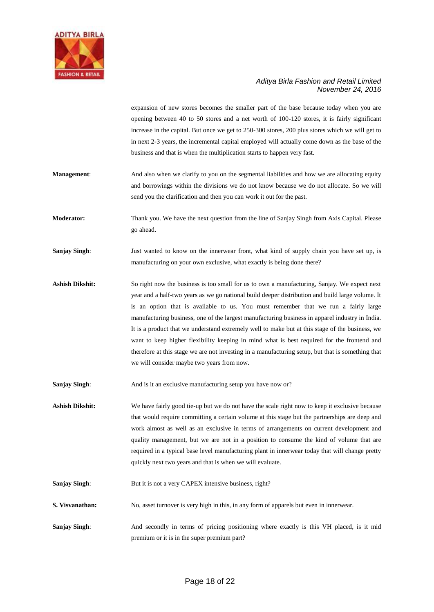

expansion of new stores becomes the smaller part of the base because today when you are opening between 40 to 50 stores and a net worth of 100-120 stores, it is fairly significant increase in the capital. But once we get to 250-300 stores, 200 plus stores which we will get to in next 2-3 years, the incremental capital employed will actually come down as the base of the business and that is when the multiplication starts to happen very fast.

**Management:** And also when we clarify to you on the segmental liabilities and how we are allocating equity and borrowings within the divisions we do not know because we do not allocate. So we will send you the clarification and then you can work it out for the past.

**Moderator:** Thank you. We have the next question from the line of Sanjay Singh from Axis Capital. Please go ahead.

**Sanjay Singh**: Just wanted to know on the innerwear front, what kind of supply chain you have set up, is manufacturing on your own exclusive, what exactly is being done there?

**Ashish Dikshit:** So right now the business is too small for us to own a manufacturing, Sanjay. We expect next year and a half-two years as we go national build deeper distribution and build large volume. It is an option that is available to us. You must remember that we run a fairly large manufacturing business, one of the largest manufacturing business in apparel industry in India. It is a product that we understand extremely well to make but at this stage of the business, we want to keep higher flexibility keeping in mind what is best required for the frontend and therefore at this stage we are not investing in a manufacturing setup, but that is something that we will consider maybe two years from now.

**Sanjay Singh:** And is it an exclusive manufacturing setup you have now or?

Ashish Dikshit: We have fairly good tie-up but we do not have the scale right now to keep it exclusive because that would require committing a certain volume at this stage but the partnerships are deep and work almost as well as an exclusive in terms of arrangements on current development and quality management, but we are not in a position to consume the kind of volume that are required in a typical base level manufacturing plant in innerwear today that will change pretty quickly next two years and that is when we will evaluate.

**Sanjay Singh:** But it is not a very CAPEX intensive business, right?

**S. Visvanathan:** No, asset turnover is very high in this, in any form of apparels but even in innerwear.

**Sanjay Singh:** And secondly in terms of pricing positioning where exactly is this VH placed, is it mid premium or it is in the super premium part?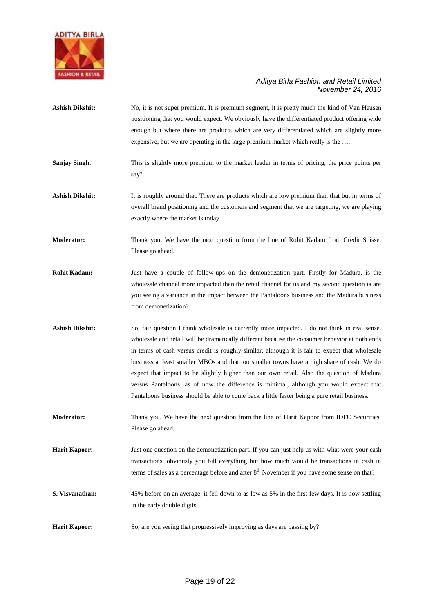

| <b>Ashish Dikshit:</b> | No, it is not super premium. It is premium segment, it is pretty much the kind of Van Heusen<br>positioning that you would expect. We obviously have the differentiated product offering wide<br>enough but where there are products which are very differentiated which are slightly more<br>expensive, but we are operating in the large premium market which really is the                                                                                                                                                                                                                                                                                                            |
|------------------------|------------------------------------------------------------------------------------------------------------------------------------------------------------------------------------------------------------------------------------------------------------------------------------------------------------------------------------------------------------------------------------------------------------------------------------------------------------------------------------------------------------------------------------------------------------------------------------------------------------------------------------------------------------------------------------------|
| <b>Sanjay Singh:</b>   | This is slightly more premium to the market leader in terms of pricing, the price points per<br>say?                                                                                                                                                                                                                                                                                                                                                                                                                                                                                                                                                                                     |
| <b>Ashish Dikshit:</b> | It is roughly around that. There are products which are low premium than that but in terms of<br>overall brand positioning and the customers and segment that we are targeting, we are playing<br>exactly where the market is today.                                                                                                                                                                                                                                                                                                                                                                                                                                                     |
| <b>Moderator:</b>      | Thank you. We have the next question from the line of Rohit Kadam from Credit Suisse.<br>Please go ahead.                                                                                                                                                                                                                                                                                                                                                                                                                                                                                                                                                                                |
| <b>Rohit Kadam:</b>    | Just have a couple of follow-ups on the demonetization part. Firstly for Madura, is the<br>wholesale channel more impacted than the retail channel for us and my second question is are<br>you seeing a variance in the impact between the Pantaloons business and the Madura business<br>from demonetization?                                                                                                                                                                                                                                                                                                                                                                           |
| <b>Ashish Dikshit:</b> | So, fair question I think wholesale is currently more impacted. I do not think in real sense,<br>wholesale and retail will be dramatically different because the consumer behavior at both ends<br>in terms of cash versus credit is roughly similar, although it is fair to expect that wholesale<br>business at least smaller MBOs and that too smaller towns have a high share of cash. We do<br>expect that impact to be slightly higher than our own retail. Also the question of Madura<br>versus Pantaloons, as of now the difference is minimal, although you would expect that<br>Pantaloons business should be able to come back a little faster being a pure retail business. |
| <b>Moderator:</b>      | Thank you. We have the next question from the line of Harit Kapoor from IDFC Securities.<br>Please go ahead.                                                                                                                                                                                                                                                                                                                                                                                                                                                                                                                                                                             |
| <b>Harit Kapoor:</b>   | Just one question on the demonetization part. If you can just help us with what were your cash<br>transactions, obviously you bill everything but how much would be transactions in cash in<br>terms of sales as a percentage before and after 8 <sup>th</sup> November if you have some sense on that?                                                                                                                                                                                                                                                                                                                                                                                  |
| S. Visvanathan:        | 45% before on an average, it fell down to as low as 5% in the first few days. It is now settling<br>in the early double digits.                                                                                                                                                                                                                                                                                                                                                                                                                                                                                                                                                          |
| <b>Harit Kapoor:</b>   | So, are you seeing that progressively improving as days are passing by?                                                                                                                                                                                                                                                                                                                                                                                                                                                                                                                                                                                                                  |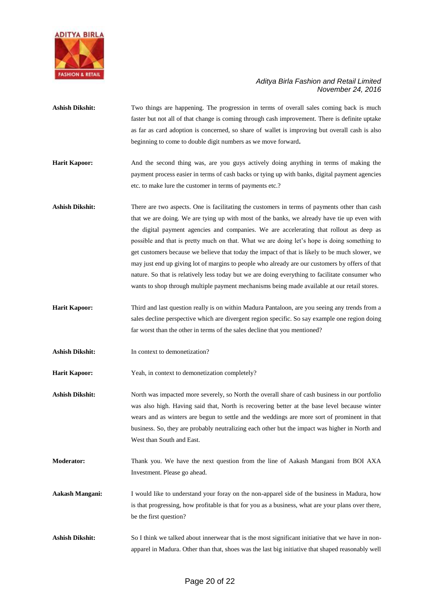

- Ashish Dikshit: Two things are happening. The progression in terms of overall sales coming back is much faster but not all of that change is coming through cash improvement. There is definite uptake as far as card adoption is concerned, so share of wallet is improving but overall cash is also beginning to come to double digit numbers as we move forward**.**
- **Harit Kapoor:** And the second thing was, are you guys actively doing anything in terms of making the payment process easier in terms of cash backs or tying up with banks, digital payment agencies etc. to make lure the customer in terms of payments etc.?
- Ashish Dikshit: There are two aspects. One is facilitating the customers in terms of payments other than cash that we are doing. We are tying up with most of the banks, we already have tie up even with the digital payment agencies and companies. We are accelerating that rollout as deep as possible and that is pretty much on that. What we are doing let's hope is doing something to get customers because we believe that today the impact of that is likely to be much slower, we may just end up giving lot of margins to people who already are our customers by offers of that nature. So that is relatively less today but we are doing everything to facilitate consumer who wants to shop through multiple payment mechanisms being made available at our retail stores.
- **Harit Kapoor:** Third and last question really is on within Madura Pantaloon, are you seeing any trends from a sales decline perspective which are divergent region specific. So say example one region doing far worst than the other in terms of the sales decline that you mentioned?
- **Ashish Dikshit:** In context to demonetization?
- **Harit Kapoor:** Yeah, in context to demonetization completely?
- Ashish Dikshit: North was impacted more severely, so North the overall share of cash business in our portfolio was also high. Having said that, North is recovering better at the base level because winter wears and as winters are begun to settle and the weddings are more sort of prominent in that business. So, they are probably neutralizing each other but the impact was higher in North and West than South and East.
- **Moderator:** Thank you. We have the next question from the line of Aakash Mangani from BOI AXA Investment. Please go ahead.
- **Aakash Mangani:** I would like to understand your foray on the non-apparel side of the business in Madura, how is that progressing, how profitable is that for you as a business, what are your plans over there, be the first question?
- **Ashish Dikshit:** So I think we talked about innerwear that is the most significant initiative that we have in nonapparel in Madura. Other than that, shoes was the last big initiative that shaped reasonably well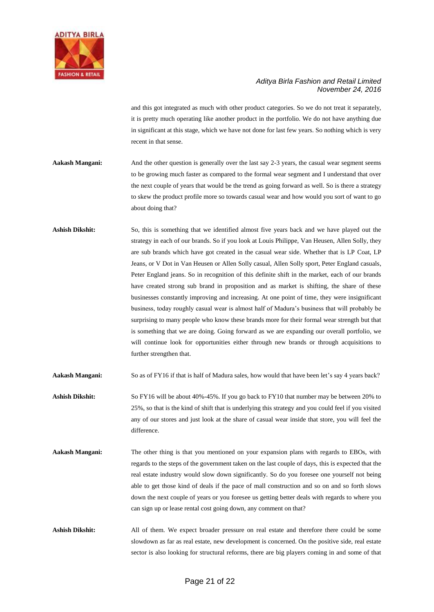

and this got integrated as much with other product categories. So we do not treat it separately, it is pretty much operating like another product in the portfolio. We do not have anything due in significant at this stage, which we have not done for last few years. So nothing which is very recent in that sense.

- Aakash Mangani: And the other question is generally over the last say 2-3 years, the casual wear segment seems to be growing much faster as compared to the formal wear segment and I understand that over the next couple of years that would be the trend as going forward as well. So is there a strategy to skew the product profile more so towards casual wear and how would you sort of want to go about doing that?
- **Ashish Dikshit:** So, this is something that we identified almost five years back and we have played out the strategy in each of our brands. So if you look at Louis Philippe, Van Heusen, Allen Solly, they are sub brands which have got created in the casual wear side. Whether that is LP Coat, LP Jeans, or V Dot in Van Heusen or Allen Solly casual, Allen Solly sport, Peter England casuals, Peter England jeans. So in recognition of this definite shift in the market, each of our brands have created strong sub brand in proposition and as market is shifting, the share of these businesses constantly improving and increasing. At one point of time, they were insignificant business, today roughly casual wear is almost half of Madura's business that will probably be surprising to many people who know these brands more for their formal wear strength but that is something that we are doing. Going forward as we are expanding our overall portfolio, we will continue look for opportunities either through new brands or through acquisitions to further strengthen that.

**Aakash Mangani:** So as of FY16 if that is half of Madura sales, how would that have been let's say 4 years back?

- **Ashish Dikshit:** So FY16 will be about 40%-45%. If you go back to FY10 that number may be between 20% to 25%, so that is the kind of shift that is underlying this strategy and you could feel if you visited any of our stores and just look at the share of casual wear inside that store, you will feel the difference.
- **Aakash Mangani:** The other thing is that you mentioned on your expansion plans with regards to EBOs, with regards to the steps of the government taken on the last couple of days, this is expected that the real estate industry would slow down significantly. So do you foresee one yourself not being able to get those kind of deals if the pace of mall construction and so on and so forth slows down the next couple of years or you foresee us getting better deals with regards to where you can sign up or lease rental cost going down, any comment on that?
- Ashish Dikshit: All of them. We expect broader pressure on real estate and therefore there could be some slowdown as far as real estate, new development is concerned. On the positive side, real estate sector is also looking for structural reforms, there are big players coming in and some of that